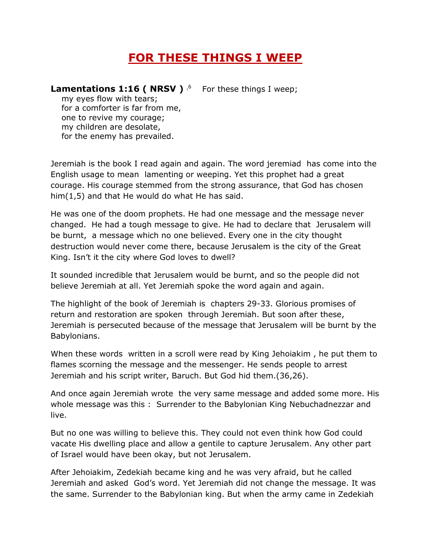## **FOR THESE THINGS I WEEP**

## Lamentations 1:16 ( NRSV )<sup>6</sup> For these things I weep;

 my eyes flow with tears; for a comforter is far from me, one to revive my courage; my children are desolate, for the enemy has prevailed.

Jeremiah is the book I read again and again. The word jeremiad has come into the English usage to mean lamenting or weeping. Yet this prophet had a great courage. His courage stemmed from the strong assurance, that God has chosen him(1,5) and that He would do what He has said.

He was one of the doom prophets. He had one message and the message never changed. He had a tough message to give. He had to declare that Jerusalem will be burnt, a message which no one believed. Every one in the city thought destruction would never come there, because Jerusalem is the city of the Great King. Isn't it the city where God loves to dwell?

It sounded incredible that Jerusalem would be burnt, and so the people did not believe Jeremiah at all. Yet Jeremiah spoke the word again and again.

The highlight of the book of Jeremiah is chapters 29-33. Glorious promises of return and restoration are spoken through Jeremiah. But soon after these, Jeremiah is persecuted because of the message that Jerusalem will be burnt by the Babylonians.

When these words written in a scroll were read by King Jehoiakim , he put them to flames scorning the message and the messenger. He sends people to arrest Jeremiah and his script writer, Baruch. But God hid them.(36,26).

And once again Jeremiah wrote the very same message and added some more. His whole message was this : Surrender to the Babylonian King Nebuchadnezzar and live.

But no one was willing to believe this. They could not even think how God could vacate His dwelling place and allow a gentile to capture Jerusalem. Any other part of Israel would have been okay, but not Jerusalem.

After Jehoiakim, Zedekiah became king and he was very afraid, but he called Jeremiah and asked God's word. Yet Jeremiah did not change the message. It was the same. Surrender to the Babylonian king. But when the army came in Zedekiah